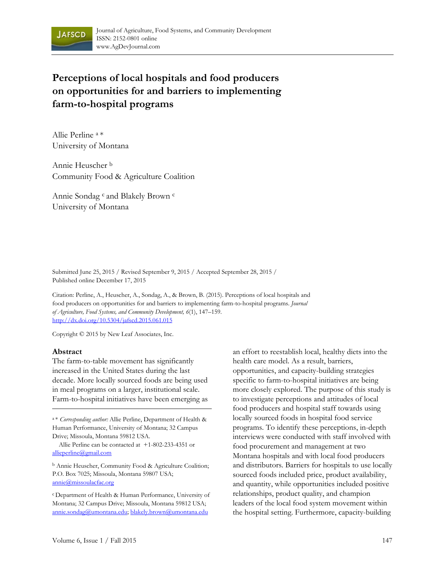

# **Perceptions of local hospitals and food producers on opportunities for and barriers to implementing farm-to-hospital programs**

Allie Perline a \* University of Montana

Annie Heuscher b Community Food & Agriculture Coalition

Annie Sondag <sup>c</sup> and Blakely Brown <sup>c</sup> University of Montana

Submitted June 25, 2015 / Revised September 9, 2015 / Accepted September 28, 2015 / Published online December 17, 2015

Citation: Perline, A., Heuscher, A., Sondag, A., & Brown, B. (2015). Perceptions of local hospitals and food producers on opportunities for and barriers to implementing farm-to-hospital programs. *Journal of Agriculture, Food Systems, and Community Development, 6*(1), 147–159. http://dx.doi.org/10.5304/jafscd.2015.061.015

Copyright © 2015 by New Leaf Associates, Inc.

### **Abstract**

The farm-to-table movement has significantly increased in the United States during the last decade. More locally sourced foods are being used in meal programs on a larger, institutional scale. Farm-to-hospital initiatives have been emerging as

<sup>a</sup> \* *Corresponding author:* Allie Perline, Department of Health & Human Performance, University of Montana; 32 Campus Drive; Missoula, Montana 59812 USA.

 Allie Perline can be contacted at +1-802-233-4351 or allieperline@gmail.com

b Annie Heuscher, Community Food & Agriculture Coalition; P.O. Box 7025; Missoula, Montana 59807 USA; annie@missoulacfac.org

<sup>c</sup> Department of Health & Human Performance, University of Montana; 32 Campus Drive; Missoula, Montana 59812 USA; annie.sondag@umontana.edu; blakely.brown@umontana.edu

an effort to reestablish local, healthy diets into the health care model. As a result, barriers, opportunities, and capacity-building strategies specific to farm-to-hospital initiatives are being more closely explored. The purpose of this study is to investigate perceptions and attitudes of local food producers and hospital staff towards using locally sourced foods in hospital food service programs. To identify these perceptions, in-depth interviews were conducted with staff involved with food procurement and management at two Montana hospitals and with local food producers and distributors. Barriers for hospitals to use locally sourced foods included price, product availability, and quantity, while opportunities included positive relationships, product quality, and champion leaders of the local food system movement within the hospital setting. Furthermore, capacity-building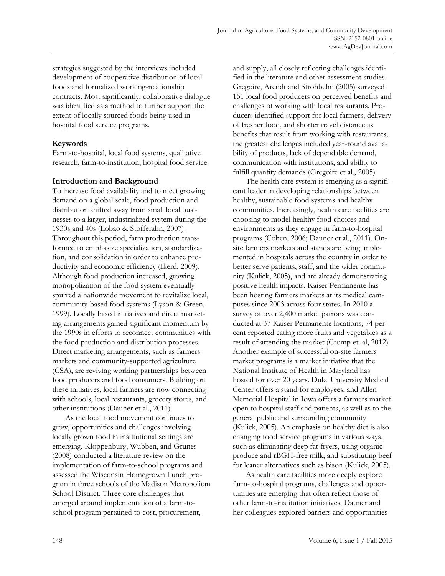strategies suggested by the interviews included development of cooperative distribution of local foods and formalized working-relationship contracts. Most significantly, collaborative dialogue was identified as a method to further support the extent of locally sourced foods being used in hospital food service programs.

### **Keywords**

Farm-to-hospital, local food systems, qualitative research, farm-to-institution, hospital food service

# **Introduction and Background**

To increase food availability and to meet growing demand on a global scale, food production and distribution shifted away from small local businesses to a larger, industrialized system during the 1930s and 40s (Lobao & Stofferahn, 2007). Throughout this period, farm production transformed to emphasize specialization, standardization, and consolidation in order to enhance productivity and economic efficiency (Ikerd, 2009). Although food production increased, growing monopolization of the food system eventually spurred a nationwide movement to revitalize local, community-based food systems (Lyson & Green, 1999). Locally based initiatives and direct marketing arrangements gained significant momentum by the 1990s in efforts to reconnect communities with the food production and distribution processes. Direct marketing arrangements, such as farmers markets and community-supported agriculture (CSA), are reviving working partnerships between food producers and food consumers. Building on these initiatives, local farmers are now connecting with schools, local restaurants, grocery stores, and other institutions (Dauner et al., 2011).

 As the local food movement continues to grow, opportunities and challenges involving locally grown food in institutional settings are emerging. Kloppenburg, Wubben, and Grunes (2008) conducted a literature review on the implementation of farm-to-school programs and assessed the Wisconsin Homegrown Lunch program in three schools of the Madison Metropolitan School District. Three core challenges that emerged around implementation of a farm-toschool program pertained to cost, procurement,

and supply, all closely reflecting challenges identified in the literature and other assessment studies. Gregoire, Arendt and Strohbehn (2005) surveyed 151 local food producers on perceived benefits and challenges of working with local restaurants. Producers identified support for local farmers, delivery of fresher food, and shorter travel distance as benefits that result from working with restaurants; the greatest challenges included year-round availability of products, lack of dependable demand, communication with institutions, and ability to fulfill quantity demands (Gregoire et al., 2005).

 The health care system is emerging as a significant leader in developing relationships between healthy, sustainable food systems and healthy communities. Increasingly, health care facilities are choosing to model healthy food choices and environments as they engage in farm-to-hospital programs (Cohen, 2006; Dauner et al., 2011). Onsite farmers markets and stands are being implemented in hospitals across the country in order to better serve patients, staff, and the wider community (Kulick, 2005), and are already demonstrating positive health impacts. Kaiser Permanente has been hosting farmers markets at its medical campuses since 2003 across four states. In 2010 a survey of over 2,400 market patrons was conducted at 37 Kaiser Permanente locations; 74 percent reported eating more fruits and vegetables as a result of attending the market (Cromp et. al, 2012). Another example of successful on-site farmers market programs is a market initiative that the National Institute of Health in Maryland has hosted for over 20 years. Duke University Medical Center offers a stand for employees, and Allen Memorial Hospital in Iowa offers a farmers market open to hospital staff and patients, as well as to the general public and surrounding community (Kulick, 2005). An emphasis on healthy diet is also changing food service programs in various ways, such as eliminating deep fat fryers, using organic produce and rBGH-free milk, and substituting beef for leaner alternatives such as bison (Kulick, 2005).

 As health care facilities more deeply explore farm-to-hospital programs, challenges and opportunities are emerging that often reflect those of other farm-to-institution initiatives. Dauner and her colleagues explored barriers and opportunities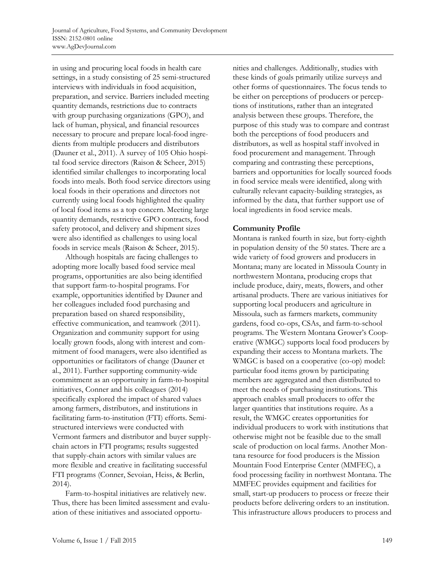in using and procuring local foods in health care settings, in a study consisting of 25 semi-structured interviews with individuals in food acquisition, preparation, and service. Barriers included meeting quantity demands, restrictions due to contracts with group purchasing organizations (GPO), and lack of human, physical, and financial resources necessary to procure and prepare local-food ingredients from multiple producers and distributors (Dauner et al., 2011). A survey of 105 Ohio hospital food service directors (Raison & Scheer, 2015) identified similar challenges to incorporating local foods into meals. Both food service directors using local foods in their operations and directors not currently using local foods highlighted the quality of local food items as a top concern. Meeting large quantity demands, restrictive GPO contracts, food safety protocol, and delivery and shipment sizes were also identified as challenges to using local foods in service meals (Raison & Scheer, 2015).

 Although hospitals are facing challenges to adopting more locally based food service meal programs, opportunities are also being identified that support farm-to-hospital programs. For example, opportunities identified by Dauner and her colleagues included food purchasing and preparation based on shared responsibility, effective communication, and teamwork (2011). Organization and community support for using locally grown foods, along with interest and commitment of food managers, were also identified as opportunities or facilitators of change (Dauner et al., 2011). Further supporting community-wide commitment as an opportunity in farm-to-hospital initiatives, Conner and his colleagues (2014) specifically explored the impact of shared values among farmers, distributors, and institutions in facilitating farm-to-institution (FTI) efforts. Semistructured interviews were conducted with Vermont farmers and distributor and buyer supplychain actors in FTI programs; results suggested that supply-chain actors with similar values are more flexible and creative in facilitating successful FTI programs (Conner, Sevoian, Heiss, & Berlin, 2014).

 Farm-to-hospital initiatives are relatively new. Thus, there has been limited assessment and evaluation of these initiatives and associated opportunities and challenges. Additionally, studies with these kinds of goals primarily utilize surveys and other forms of questionnaires. The focus tends to be either on perceptions of producers or perceptions of institutions, rather than an integrated analysis between these groups. Therefore, the purpose of this study was to compare and contrast both the perceptions of food producers and distributors, as well as hospital staff involved in food procurement and management. Through comparing and contrasting these perceptions, barriers and opportunities for locally sourced foods in food service meals were identified, along with culturally relevant capacity-building strategies, as informed by the data, that further support use of local ingredients in food service meals.

# **Community Profile**

Montana is ranked fourth in size, but forty-eighth in population density of the 50 states. There are a wide variety of food growers and producers in Montana; many are located in Missoula County in northwestern Montana, producing crops that include produce, dairy, meats, flowers, and other artisanal products. There are various initiatives for supporting local producers and agriculture in Missoula, such as farmers markets, community gardens, food co-ops, CSAs, and farm-to-school programs. The Western Montana Grower's Cooperative (WMGC) supports local food producers by expanding their access to Montana markets. The WMGC is based on a cooperative (co-op) model: particular food items grown by participating members are aggregated and then distributed to meet the needs of purchasing institutions. This approach enables small producers to offer the larger quantities that institutions require. As a result, the WMGC creates opportunities for individual producers to work with institutions that otherwise might not be feasible due to the small scale of production on local farms. Another Montana resource for food producers is the Mission Mountain Food Enterprise Center (MMFEC), a food processing facility in northwest Montana. The MMFEC provides equipment and facilities for small, start-up producers to process or freeze their products before delivering orders to an institution. This infrastructure allows producers to process and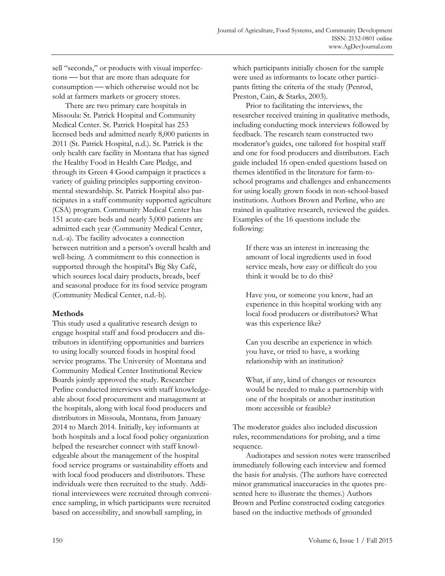sell "seconds," or products with visual imperfections — but that are more than adequate for consumption — which otherwise would not be sold at farmers markets or grocery stores.

 There are two primary care hospitals in Missoula: St. Patrick Hospital and Community Medical Center. St. Patrick Hospital has 253 licensed beds and admitted nearly 8,000 patients in 2011 (St. Patrick Hospital, n.d.). St. Patrick is the only health care facility in Montana that has signed the Healthy Food in Health Care Pledge, and through its Green 4 Good campaign it practices a variety of guiding principles supporting environmental stewardship. St. Patrick Hospital also participates in a staff community supported agriculture (CSA) program. Community Medical Center has 151 acute-care beds and nearly 5,000 patients are admitted each year (Community Medical Center, n.d.-a). The facility advocates a connection between nutrition and a person's overall health and well-being. A commitment to this connection is supported through the hospital's Big Sky Café, which sources local dairy products, breads, beef and seasonal produce for its food service program (Community Medical Center, n.d.-b).

### **Methods**

This study used a qualitative research design to engage hospital staff and food producers and distributors in identifying opportunities and barriers to using locally sourced foods in hospital food service programs. The University of Montana and Community Medical Center Institutional Review Boards jointly approved the study. Researcher Perline conducted interviews with staff knowledgeable about food procurement and management at the hospitals, along with local food producers and distributors in Missoula, Montana, from January 2014 to March 2014. Initially, key informants at both hospitals and a local food policy organization helped the researcher connect with staff knowledgeable about the management of the hospital food service programs or sustainability efforts and with local food producers and distributors. These individuals were then recruited to the study. Additional interviewees were recruited through convenience sampling, in which participants were recruited based on accessibility, and snowball sampling, in

which participants initially chosen for the sample were used as informants to locate other participants fitting the criteria of the study (Penrod, Preston, Cain, & Starks, 2003).

 Prior to facilitating the interviews, the researcher received training in qualitative methods, including conducting mock interviews followed by feedback. The research team constructed two moderator's guides, one tailored for hospital staff and one for food producers and distributors. Each guide included 16 open-ended questions based on themes identified in the literature for farm-toschool programs and challenges and enhancements for using locally grown foods in non-school-based institutions. Authors Brown and Perline, who are trained in qualitative research, reviewed the guides. Examples of the 16 questions include the following:

If there was an interest in increasing the amount of local ingredients used in food service meals, how easy or difficult do you think it would be to do this?

Have you, or someone you know, had an experience in this hospital working with any local food producers or distributors? What was this experience like?

Can you describe an experience in which you have, or tried to have, a working relationship with an institution?

What, if any, kind of changes or resources would be needed to make a partnership with one of the hospitals or another institution more accessible or feasible?

The moderator guides also included discussion rules, recommendations for probing, and a time sequence.

 Audiotapes and session notes were transcribed immediately following each interview and formed the basis for analysis. (The authors have corrected minor grammatical inaccuracies in the quotes presented here to illustrate the themes.) Authors Brown and Perline constructed coding categories based on the inductive methods of grounded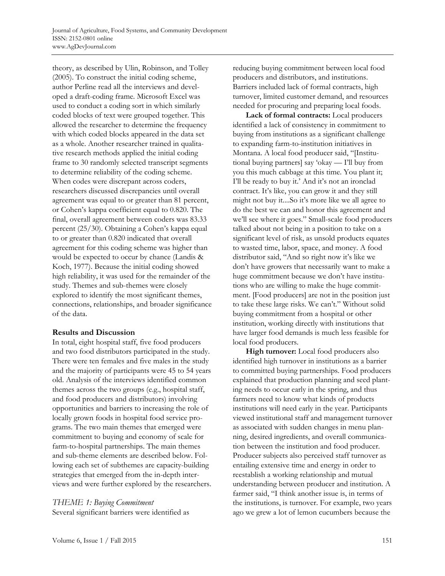theory, as described by Ulin, Robinson, and Tolley (2005). To construct the initial coding scheme, author Perline read all the interviews and developed a draft-coding frame. Microsoft Excel was used to conduct a coding sort in which similarly coded blocks of text were grouped together. This allowed the researcher to determine the frequency with which coded blocks appeared in the data set as a whole. Another researcher trained in qualitative research methods applied the initial coding frame to 30 randomly selected transcript segments to determine reliability of the coding scheme. When codes were discrepant across coders, researchers discussed discrepancies until overall agreement was equal to or greater than 81 percent, or Cohen's kappa coefficient equal to 0.820. The final, overall agreement between coders was 83.33 percent (25/30). Obtaining a Cohen's kappa equal to or greater than 0.820 indicated that overall agreement for this coding scheme was higher than would be expected to occur by chance (Landis & Koch, 1977). Because the initial coding showed high reliability, it was used for the remainder of the study. Themes and sub-themes were closely explored to identify the most significant themes, connections, relationships, and broader significance of the data.

### **Results and Discussion**

In total, eight hospital staff, five food producers and two food distributors participated in the study. There were ten females and five males in the study and the majority of participants were 45 to 54 years old. Analysis of the interviews identified common themes across the two groups (e.g., hospital staff, and food producers and distributors) involving opportunities and barriers to increasing the role of locally grown foods in hospital food service programs. The two main themes that emerged were commitment to buying and economy of scale for farm-to-hospital partnerships. The main themes and sub-theme elements are described below. Following each set of subthemes are capacity-building strategies that emerged from the in-depth interviews and were further explored by the researchers.

*THEME 1: Buying Commitment*  Several significant barriers were identified as reducing buying commitment between local food producers and distributors, and institutions. Barriers included lack of formal contracts, high turnover, limited customer demand, and resources needed for procuring and preparing local foods.

**Lack of formal contracts:** Local producers identified a lack of consistency in commitment to buying from institutions as a significant challenge to expanding farm-to-institution initiatives in Montana. A local food producer said, "[Institutional buying partners] say 'okay — I'll buy from you this much cabbage at this time. You plant it; I'll be ready to buy it.' And it's not an ironclad contract. It's like, you can grow it and they still might not buy it....So it's more like we all agree to do the best we can and honor this agreement and we'll see where it goes." Small-scale food producers talked about not being in a position to take on a significant level of risk, as unsold products equates to wasted time, labor, space, and money. A food distributor said, "And so right now it's like we don't have growers that necessarily want to make a huge commitment because we don't have institutions who are willing to make the huge commitment. [Food producers] are not in the position just to take these large risks. We can't." Without solid buying commitment from a hospital or other institution, working directly with institutions that have larger food demands is much less feasible for local food producers.

**High turnover:** Local food producers also identified high turnover in institutions as a barrier to committed buying partnerships. Food producers explained that production planning and seed planting needs to occur early in the spring, and thus farmers need to know what kinds of products institutions will need early in the year. Participants viewed institutional staff and management turnover as associated with sudden changes in menu planning, desired ingredients, and overall communication between the institution and food producer. Producer subjects also perceived staff turnover as entailing extensive time and energy in order to reestablish a working relationship and mutual understanding between producer and institution. A farmer said, "I think another issue is, in terms of the institutions, is turnover. For example, two years ago we grew a lot of lemon cucumbers because the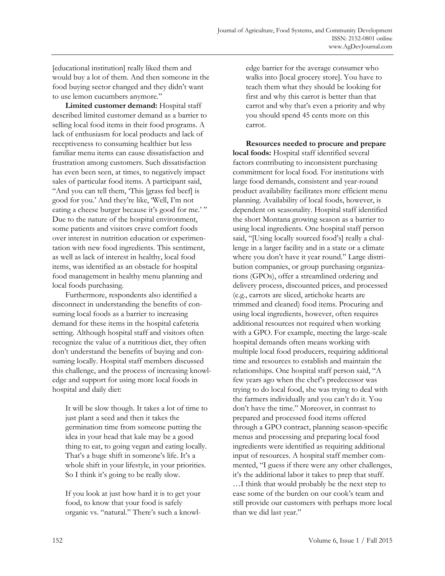[educational institution] really liked them and would buy a lot of them. And then someone in the food buying sector changed and they didn't want to use lemon cucumbers anymore."

**Limited customer demand:** Hospital staff described limited customer demand as a barrier to selling local food items in their food programs. A lack of enthusiasm for local products and lack of receptiveness to consuming healthier but less familiar menu items can cause dissatisfaction and frustration among customers. Such dissatisfaction has even been seen, at times, to negatively impact sales of particular food items. A participant said, "And you can tell them, 'This [grass fed beef] is good for you.' And they're like, 'Well, I'm not eating a cheese burger because it's good for me.'" Due to the nature of the hospital environment, some patients and visitors crave comfort foods over interest in nutrition education or experimentation with new food ingredients. This sentiment, as well as lack of interest in healthy, local food items, was identified as an obstacle for hospital food management in healthy menu planning and local foods purchasing.

 Furthermore, respondents also identified a disconnect in understanding the benefits of consuming local foods as a barrier to increasing demand for these items in the hospital cafeteria setting. Although hospital staff and visitors often recognize the value of a nutritious diet, they often don't understand the benefits of buying and consuming locally. Hospital staff members discussed this challenge, and the process of increasing knowledge and support for using more local foods in hospital and daily diet:

It will be slow though. It takes a lot of time to just plant a seed and then it takes the germination time from someone putting the idea in your head that kale may be a good thing to eat, to going vegan and eating locally. That's a huge shift in someone's life. It's a whole shift in your lifestyle, in your priorities. So I think it's going to be really slow.

If you look at just how hard it is to get your food, to know that your food is safely organic vs. "natural." There's such a knowledge barrier for the average consumer who walks into [local grocery store]. You have to teach them what they should be looking for first and why this carrot is better than that carrot and why that's even a priority and why you should spend 45 cents more on this carrot.

**Resources needed to procure and prepare local foods:** Hospital staff identified several factors contributing to inconsistent purchasing commitment for local food. For institutions with large food demands, consistent and year-round product availability facilitates more efficient menu planning. Availability of local foods, however, is dependent on seasonality. Hospital staff identified the short Montana growing season as a barrier to using local ingredients. One hospital staff person said, "[Using locally sourced food's] really a challenge in a larger facility and in a state or a climate where you don't have it year round." Large distribution companies, or group purchasing organizations (GPOs), offer a streamlined ordering and delivery process, discounted prices, and processed (e.g., carrots are sliced, artichoke hearts are trimmed and cleaned) food items. Procuring and using local ingredients, however, often requires additional resources not required when working with a GPO. For example, meeting the large-scale hospital demands often means working with multiple local food producers, requiring additional time and resources to establish and maintain the relationships. One hospital staff person said, "A few years ago when the chef's predecessor was trying to do local food, she was trying to deal with the farmers individually and you can't do it. You don't have the time." Moreover, in contrast to prepared and processed food items offered through a GPO contract, planning season-specific menus and processing and preparing local food ingredients were identified as requiring additional input of resources. A hospital staff member commented, "I guess if there were any other challenges, it's the additional labor it takes to prep that stuff. …I think that would probably be the next step to ease some of the burden on our cook's team and still provide our customers with perhaps more local than we did last year."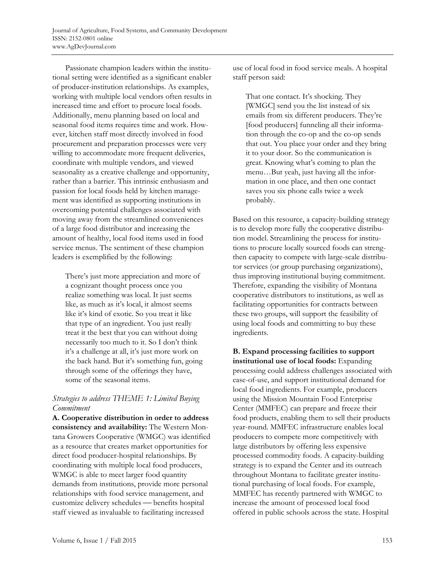Passionate champion leaders within the institutional setting were identified as a significant enabler of producer-institution relationships. As examples, working with multiple local vendors often results in increased time and effort to procure local foods. Additionally, menu planning based on local and seasonal food items requires time and work. However, kitchen staff most directly involved in food procurement and preparation processes were very willing to accommodate more frequent deliveries, coordinate with multiple vendors, and viewed seasonality as a creative challenge and opportunity, rather than a barrier. This intrinsic enthusiasm and passion for local foods held by kitchen management was identified as supporting institutions in overcoming potential challenges associated with moving away from the streamlined conveniences of a large food distributor and increasing the amount of healthy, local food items used in food service menus. The sentiment of these champion leaders is exemplified by the following:

There's just more appreciation and more of a cognizant thought process once you realize something was local. It just seems like, as much as it's local, it almost seems like it's kind of exotic. So you treat it like that type of an ingredient. You just really treat it the best that you can without doing necessarily too much to it. So I don't think it's a challenge at all, it's just more work on the back hand. But it's something fun, going through some of the offerings they have, some of the seasonal items.

# *Strategies to address THEME 1: Limited Buying Commitment*

**A. Cooperative distribution in order to address consistency and availability:** The Western Montana Growers Cooperative (WMGC) was identified as a resource that creates market opportunities for direct food producer-hospital relationships. By coordinating with multiple local food producers, WMGC is able to meet larger food quantity demands from institutions, provide more personal relationships with food service management, and customize delivery schedules - benefits hospital staff viewed as invaluable to facilitating increased

use of local food in food service meals. A hospital staff person said:

That one contact. It's shocking. They [WMGC] send you the list instead of six emails from six different producers. They're [food producers] funneling all their information through the co-op and the co-op sends that out. You place your order and they bring it to your door. So the communication is great. Knowing what's coming to plan the menu…But yeah, just having all the information in one place, and then one contact saves you six phone calls twice a week probably.

Based on this resource, a capacity-building strategy is to develop more fully the cooperative distribution model. Streamlining the process for institutions to procure locally sourced foods can strengthen capacity to compete with large-scale distributor services (or group purchasing organizations), thus improving institutional buying commitment. Therefore, expanding the visibility of Montana cooperative distributors to institutions, as well as facilitating opportunities for contracts between these two groups, will support the feasibility of using local foods and committing to buy these ingredients.

**B. Expand processing facilities to support institutional use of local foods:** Expanding processing could address challenges associated with ease-of-use, and support institutional demand for local food ingredients. For example, producers using the Mission Mountain Food Enterprise Center (MMFEC) can prepare and freeze their food products, enabling them to sell their products year-round. MMFEC infrastructure enables local producers to compete more competitively with large distributors by offering less expensive processed commodity foods. A capacity-building strategy is to expand the Center and its outreach throughout Montana to facilitate greater institutional purchasing of local foods. For example, MMFEC has recently partnered with WMGC to increase the amount of processed local food offered in public schools across the state. Hospital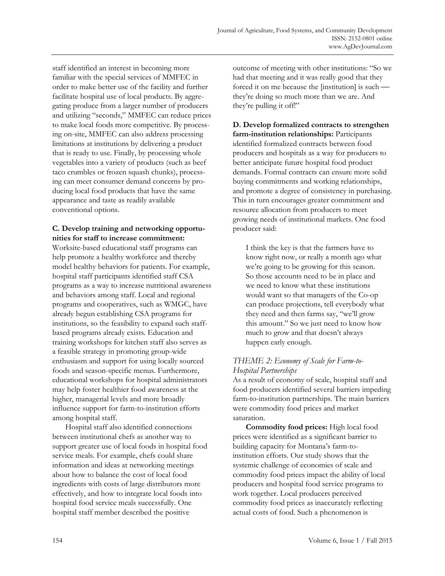staff identified an interest in becoming more familiar with the special services of MMFEC in order to make better use of the facility and further facilitate hospital use of local products. By aggregating produce from a larger number of producers and utilizing "seconds," MMFEC can reduce prices to make local foods more competitive. By processing on-site, MMFEC can also address processing limitations at institutions by delivering a product that is ready to use. Finally, by processing whole vegetables into a variety of products (such as beef taco crumbles or frozen squash chunks), processing can meet consumer demand concerns by producing local food products that have the same appearance and taste as readily available conventional options.

### **C. Develop training and networking opportunities for staff to increase commitment:**

Worksite-based educational staff programs can help promote a healthy workforce and thereby model healthy behaviors for patients. For example, hospital staff participants identified staff CSA programs as a way to increase nutritional awareness and behaviors among staff. Local and regional programs and cooperatives, such as WMGC, have already begun establishing CSA programs for institutions, so the feasibility to expand such staffbased programs already exists. Education and training workshops for kitchen staff also serves as a feasible strategy in promoting group-wide enthusiasm and support for using locally sourced foods and season-specific menus. Furthermore, educational workshops for hospital administrators may help foster healthier food awareness at the higher, managerial levels and more broadly influence support for farm-to-institution efforts among hospital staff.

 Hospital staff also identified connections between institutional chefs as another way to support greater use of local foods in hospital food service meals. For example, chefs could share information and ideas at networking meetings about how to balance the cost of local food ingredients with costs of large distributors more effectively, and how to integrate local foods into hospital food service meals successfully. One hospital staff member described the positive

outcome of meeting with other institutions: "So we had that meeting and it was really good that they forced it on me because the  $[$ institution $]$  is such they're doing so much more than we are. And they're pulling it off!"

**D. Develop formalized contracts to strengthen farm-institution relationships:** Participants identified formalized contracts between food producers and hospitals as a way for producers to better anticipate future hospital food product demands. Formal contracts can ensure more solid buying commitments and working relationships, and promote a degree of consistency in purchasing. This in turn encourages greater commitment and resource allocation from producers to meet growing needs of institutional markets. One food producer said:

I think the key is that the farmers have to know right now, or really a month ago what we're going to be growing for this season. So those accounts need to be in place and we need to know what these institutions would want so that managers of the Co-op can produce projections, tell everybody what they need and then farms say, "we'll grow this amount." So we just need to know how much to grow and that doesn't always happen early enough.

# *THEME 2: Economy of Scale for Farm-to-Hospital Partnerships*

As a result of economy of scale, hospital staff and food producers identified several barriers impeding farm-to-institution partnerships. The main barriers were commodity food prices and market saturation.

**Commodity food prices:** High local food prices were identified as a significant barrier to building capacity for Montana's farm-toinstitution efforts. Our study shows that the systemic challenge of economies of scale and commodity food prices impact the ability of local producers and hospital food service programs to work together. Local producers perceived commodity food prices as inaccurately reflecting actual costs of food. Such a phenomenon is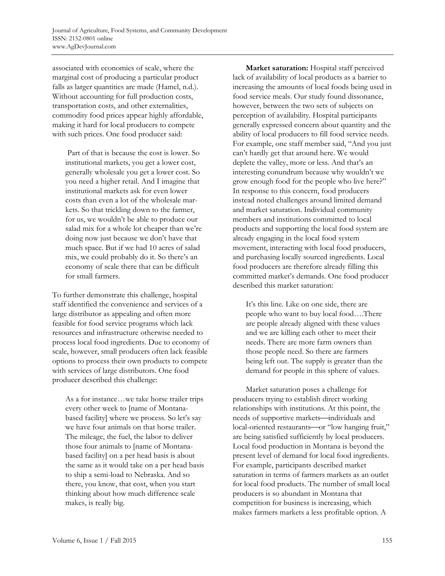associated with economies of scale, where the marginal cost of producing a particular product falls as larger quantities are made (Hamel, n.d.). Without accounting for full production costs, transportation costs, and other externalities, commodity food prices appear highly affordable, making it hard for local producers to compete with such prices. One food producer said:

 Part of that is because the cost is lower. So institutional markets, you get a lower cost, generally wholesale you get a lower cost. So you need a higher retail. And I imagine that institutional markets ask for even lower costs than even a lot of the wholesale markets. So that trickling down to the farmer, for us, we wouldn't be able to produce our salad mix for a whole lot cheaper than we're doing now just because we don't have that much space. But if we had 10 acres of salad mix, we could probably do it. So there's an economy of scale there that can be difficult for small farmers.

To further demonstrate this challenge, hospital staff identified the convenience and services of a large distributor as appealing and often more feasible for food service programs which lack resources and infrastructure otherwise needed to process local food ingredients. Due to economy of scale, however, small producers often lack feasible options to process their own products to compete with services of large distributors. One food producer described this challenge:

As a for instance…we take horse trailer trips every other week to [name of Montanabased facility] where we process. So let's say we have four animals on that horse trailer. The mileage, the fuel, the labor to deliver those four animals to [name of Montanabased facility] on a per head basis is about the same as it would take on a per head basis to ship a semi-load to Nebraska. And so there, you know, that cost, when you start thinking about how much difference scale makes, is really big.

**Market saturation:** Hospital staff perceived lack of availability of local products as a barrier to increasing the amounts of local foods being used in food service meals. Our study found dissonance, however, between the two sets of subjects on perception of availability. Hospital participants generally expressed concern about quantity and the ability of local producers to fill food service needs. For example, one staff member said, "And you just can't hardly get that around here. We would deplete the valley, more or less. And that's an interesting conundrum because why wouldn't we grow enough food for the people who live here?" In response to this concern, food producers instead noted challenges around limited demand and market saturation. Individual community members and institutions committed to local products and supporting the local food system are already engaging in the local food system movement, interacting with local food producers, and purchasing locally sourced ingredients. Local food producers are therefore already filling this committed market's demands. One food producer described this market saturation:

It's this line. Like on one side, there are people who want to buy local food….There are people already aligned with these values and we are killing each other to meet their needs. There are more farm owners than those people need. So there are farmers being left out. The supply is greater than the demand for people in this sphere of values.

 Market saturation poses a challenge for producers trying to establish direct working relationships with institutions. At this point, the needs of supportive markets—individuals and local-oriented restaurants-or "low hanging fruit," are being satisfied sufficiently by local producers. Local food production in Montana is beyond the present level of demand for local food ingredients. For example, participants described market saturation in terms of farmers markets as an outlet for local food products. The number of small local producers is so abundant in Montana that competition for business is increasing, which makes farmers markets a less profitable option. A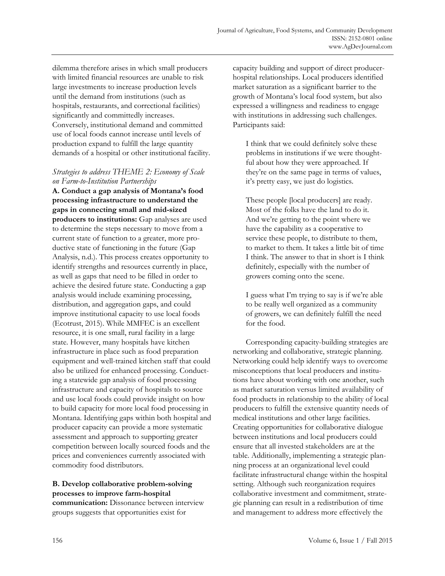dilemma therefore arises in which small producers with limited financial resources are unable to risk large investments to increase production levels until the demand from institutions (such as hospitals, restaurants, and correctional facilities) significantly and committedly increases. Conversely, institutional demand and committed use of local foods cannot increase until levels of production expand to fulfill the large quantity demands of a hospital or other institutional facility.

### *Strategies to address THEME 2: Economy of Scale on Farm-to-Institution Partnerships*

**A. Conduct a gap analysis of Montana's food processing infrastructure to understand the gaps in connecting small and mid-sized producers to institutions:** Gap analyses are used to determine the steps necessary to move from a current state of function to a greater, more productive state of functioning in the future (Gap Analysis, n.d.). This process creates opportunity to identify strengths and resources currently in place, as well as gaps that need to be filled in order to achieve the desired future state. Conducting a gap analysis would include examining processing, distribution, and aggregation gaps, and could improve institutional capacity to use local foods (Ecotrust, 2015). While MMFEC is an excellent resource, it is one small, rural facility in a large state. However, many hospitals have kitchen infrastructure in place such as food preparation equipment and well-trained kitchen staff that could also be utilized for enhanced processing. Conducting a statewide gap analysis of food processing infrastructure and capacity of hospitals to source and use local foods could provide insight on how to build capacity for more local food processing in Montana. Identifying gaps within both hospital and producer capacity can provide a more systematic assessment and approach to supporting greater competition between locally sourced foods and the prices and conveniences currently associated with commodity food distributors.

# **B. Develop collaborative problem-solving processes to improve farm-hospital**

**communication:** Dissonance between interview groups suggests that opportunities exist for

capacity building and support of direct producerhospital relationships. Local producers identified market saturation as a significant barrier to the growth of Montana's local food system, but also expressed a willingness and readiness to engage with institutions in addressing such challenges. Participants said:

I think that we could definitely solve these problems in institutions if we were thoughtful about how they were approached. If they're on the same page in terms of values, it's pretty easy, we just do logistics.

These people [local producers] are ready. Most of the folks have the land to do it. And we're getting to the point where we have the capability as a cooperative to service these people, to distribute to them, to market to them. It takes a little bit of time I think. The answer to that in short is I think definitely, especially with the number of growers coming onto the scene.

I guess what I'm trying to say is if we're able to be really well organized as a community of growers, we can definitely fulfill the need for the food.

 Corresponding capacity-building strategies are networking and collaborative, strategic planning. Networking could help identify ways to overcome misconceptions that local producers and institutions have about working with one another, such as market saturation versus limited availability of food products in relationship to the ability of local producers to fulfill the extensive quantity needs of medical institutions and other large facilities. Creating opportunities for collaborative dialogue between institutions and local producers could ensure that all invested stakeholders are at the table. Additionally, implementing a strategic planning process at an organizational level could facilitate infrastructural change within the hospital setting. Although such reorganization requires collaborative investment and commitment, strategic planning can result in a redistribution of time and management to address more effectively the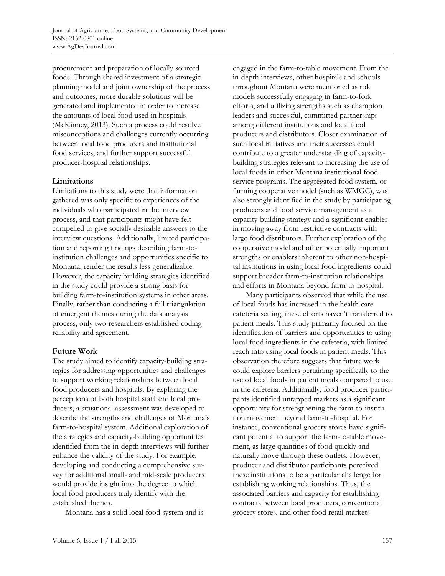procurement and preparation of locally sourced foods. Through shared investment of a strategic planning model and joint ownership of the process and outcomes, more durable solutions will be generated and implemented in order to increase the amounts of local food used in hospitals (McKinney, 2013). Such a process could resolve misconceptions and challenges currently occurring between local food producers and institutional food services, and further support successful producer-hospital relationships.

### **Limitations**

Limitations to this study were that information gathered was only specific to experiences of the individuals who participated in the interview process, and that participants might have felt compelled to give socially desirable answers to the interview questions. Additionally, limited participation and reporting findings describing farm-toinstitution challenges and opportunities specific to Montana, render the results less generalizable. However, the capacity building strategies identified in the study could provide a strong basis for building farm-to-institution systems in other areas. Finally, rather than conducting a full triangulation of emergent themes during the data analysis process, only two researchers established coding reliability and agreement.

### **Future Work**

The study aimed to identify capacity-building strategies for addressing opportunities and challenges to support working relationships between local food producers and hospitals. By exploring the perceptions of both hospital staff and local producers, a situational assessment was developed to describe the strengths and challenges of Montana's farm-to-hospital system. Additional exploration of the strategies and capacity-building opportunities identified from the in-depth interviews will further enhance the validity of the study. For example, developing and conducting a comprehensive survey for additional small- and mid-scale producers would provide insight into the degree to which local food producers truly identify with the established themes.

Montana has a solid local food system and is

engaged in the farm-to-table movement. From the in-depth interviews, other hospitals and schools throughout Montana were mentioned as role models successfully engaging in farm-to-fork efforts, and utilizing strengths such as champion leaders and successful, committed partnerships among different institutions and local food producers and distributors. Closer examination of such local initiatives and their successes could contribute to a greater understanding of capacitybuilding strategies relevant to increasing the use of local foods in other Montana institutional food service programs. The aggregated food system, or farming cooperative model (such as WMGC), was also strongly identified in the study by participating producers and food service management as a capacity-building strategy and a significant enabler in moving away from restrictive contracts with large food distributors. Further exploration of the cooperative model and other potentially important strengths or enablers inherent to other non-hospital institutions in using local food ingredients could support broader farm-to-institution relationships and efforts in Montana beyond farm-to-hospital.

 Many participants observed that while the use of local foods has increased in the health care cafeteria setting, these efforts haven't transferred to patient meals. This study primarily focused on the identification of barriers and opportunities to using local food ingredients in the cafeteria, with limited reach into using local foods in patient meals. This observation therefore suggests that future work could explore barriers pertaining specifically to the use of local foods in patient meals compared to use in the cafeteria. Additionally, food producer participants identified untapped markets as a significant opportunity for strengthening the farm-to-institution movement beyond farm-to-hospital. For instance, conventional grocery stores have significant potential to support the farm-to-table movement, as large quantities of food quickly and naturally move through these outlets. However, producer and distributor participants perceived these institutions to be a particular challenge for establishing working relationships. Thus, the associated barriers and capacity for establishing contracts between local producers, conventional grocery stores, and other food retail markets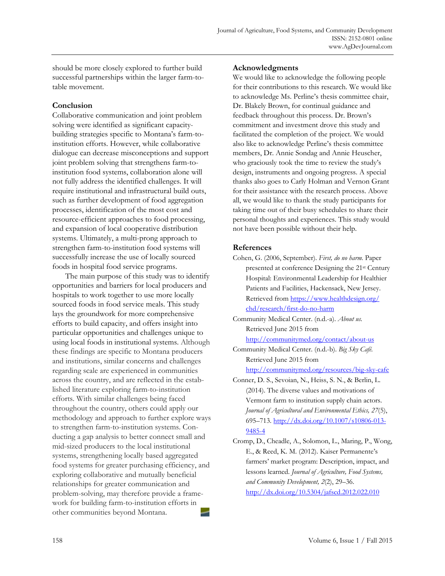should be more closely explored to further build successful partnerships within the larger farm-totable movement.

### **Conclusion**

Collaborative communication and joint problem solving were identified as significant capacitybuilding strategies specific to Montana's farm-toinstitution efforts. However, while collaborative dialogue can decrease misconceptions and support joint problem solving that strengthens farm-toinstitution food systems, collaboration alone will not fully address the identified challenges. It will require institutional and infrastructural build outs, such as further development of food aggregation processes, identification of the most cost and resource-efficient approaches to food processing, and expansion of local cooperative distribution systems. Ultimately, a multi-prong approach to strengthen farm-to-institution food systems will successfully increase the use of locally sourced foods in hospital food service programs.

 The main purpose of this study was to identify opportunities and barriers for local producers and hospitals to work together to use more locally sourced foods in food service meals. This study lays the groundwork for more comprehensive efforts to build capacity, and offers insight into particular opportunities and challenges unique to using local foods in institutional systems. Although these findings are specific to Montana producers and institutions, similar concerns and challenges regarding scale are experienced in communities across the country, and are reflected in the established literature exploring farm-to-institution efforts. With similar challenges being faced throughout the country, others could apply our methodology and approach to further explore ways to strengthen farm-to-institution systems. Conducting a gap analysis to better connect small and mid-sized producers to the local institutional systems, strengthening locally based aggregated food systems for greater purchasing efficiency, and exploring collaborative and mutually beneficial relationships for greater communication and problem-solving, may therefore provide a framework for building farm-to-institution efforts in other communities beyond Montana.

### **Acknowledgments**

We would like to acknowledge the following people for their contributions to this research. We would like to acknowledge Ms. Perline's thesis committee chair, Dr. Blakely Brown, for continual guidance and feedback throughout this process. Dr. Brown's commitment and investment drove this study and facilitated the completion of the project. We would also like to acknowledge Perline's thesis committee members, Dr. Annie Sondag and Annie Heuscher, who graciously took the time to review the study's design, instruments and ongoing progress. A special thanks also goes to Carly Holman and Vernon Grant for their assistance with the research process. Above all, we would like to thank the study participants for taking time out of their busy schedules to share their personal thoughts and experiences. This study would not have been possible without their help.

### **References**

- Cohen, G. (2006, September). *First, do no harm.* Paper presented at conference Designing the 21st Century Hospital: Environmental Leadership for Healthier Patients and Facilities, Hackensack, New Jersey. [Retrieved from https://www.healthdesign.org/](https://www.healthdesign.org/chd/research/first-do-no-harm) chd/research/first-do-no-harm
- Community Medical Center. (n.d.-a). *About us.* Retrieved June 2015 from http://communitymed.org/contact/about-us

Community Medical Center. (n.d.-b). *Big Sky Café.* Retrieved June 2015 from

http://communitymed.org/resources/big-sky-cafe

Conner, D. S., Sevoian, N., Heiss, S. N., & Berlin, L. (2014). The diverse values and motivations of Vermont farm to institution supply chain actors. *Journal of Agricultural and Environmental Ethics, 27*(5), 695–713. http://dx.doi.org/10.1007/s10806-013- 9485-4

Cromp, D., Cheadle, A., Solomon, L., Maring, P., Wong, E., & Reed, K. M. (2012). Kaiser Permanente's farmers' market program: Description, impact, and lessons learned. *Journal of Agriculture, Food Systems, and Community Development, 2*(2), 29–36. http://dx.doi.org/10.5304/jafscd.2012.022.010